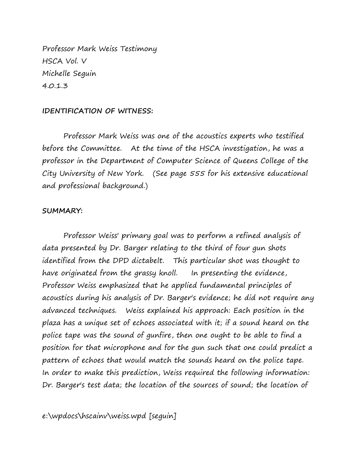Professor Mark Weiss Testimony HSCA Vol. V Michelle Seguin 4.0.1.3

## **IDENTIFICATION OF WITNESS:**

Professor Mark Weiss was one of the acoustics experts who testified before the Committee. At the time of the HSCA investigation, he was a professor in the Department of Computer Science of Queens College of the City University of New York. (See page 555 for his extensive educational and professional background.)

## **SUMMARY:**

Professor Weiss' primary goal was to perform a refined analysis of data presented by Dr. Barger relating to the third of four gun shots identified from the DPD dictabelt. This particular shot was thought to have originated from the grassy knoll. In presenting the evidence, Professor Weiss emphasized that he applied fundamental principles of acoustics during his analysis of Dr. Barger's evidence; he did not require any advanced techniques. Weiss explained his approach: Each position in the plaza has a unique set of echoes associated with it; if a sound heard on the police tape was the sound of gunfire, then one ought to be able to find a position for that microphone and for the gun such that one could predict a pattern of echoes that would match the sounds heard on the police tape. In order to make this prediction, Weiss required the following information: Dr. Barger's test data; the location of the sources of sound; the location of

e:\wpdocs\hscainv\weiss.wpd [seguin]